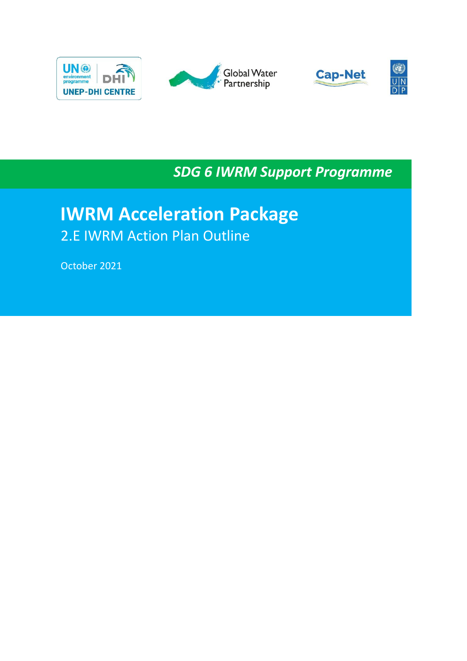







*SDG 6 IWRM Support Programme*

# **IWRM Acceleration Package**  2.E IWRM Action Plan Outline

October 2021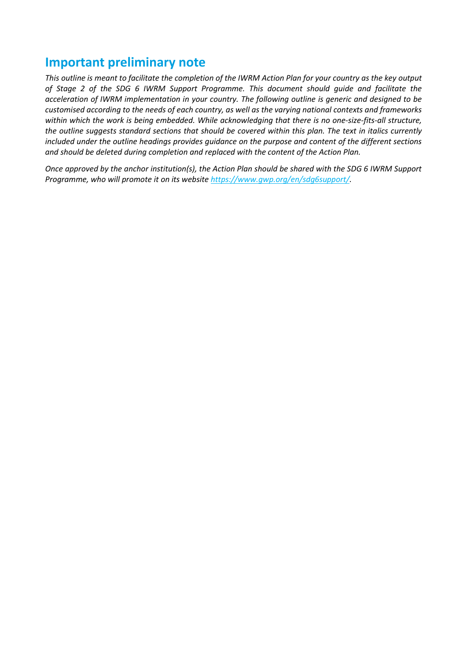## **Important preliminary note**

*This outline is meant to facilitate the completion of the IWRM Action Plan for your country as the key output of Stage 2 of the SDG 6 IWRM Support Programme. This document should guide and facilitate the acceleration of IWRM implementation in your country. The following outline is generic and designed to be customised according to the needs of each country, as well as the varying national contexts and frameworks within which the work is being embedded. While acknowledging that there is no one-size-fits-all structure, the outline suggests standard sections that should be covered within this plan. The text in italics currently included under the outline headings provides guidance on the purpose and content of the different sections and should be deleted during completion and replaced with the content of the Action Plan.*

*Once approved by the anchor institution(s), the Action Plan should be shared with the SDG 6 IWRM Support Programme, who will promote it on its website [https://www.gwp.org/en/sdg6support/.](https://www.gwp.org/en/sdg6support/)*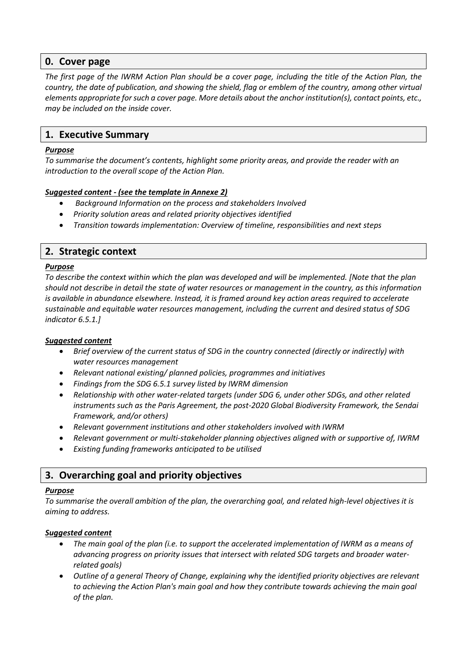### **0. Cover page**

*The first page of the IWRM Action Plan should be a cover page, including the title of the Action Plan, the country, the date of publication, and showing the shield, flag or emblem of the country, among other virtual elements appropriate for such a cover page. More details about the anchor institution(s), contact points, etc., may be included on the inside cover.* 

## **1. Executive Summary**

#### *Purpose*

*To summarise the document's contents, highlight some priority areas, and provide the reader with an introduction to the overall scope of the Action Plan.*

#### *Suggested content - (see the template in Annexe 2)*

- *Background Information on the process and stakeholders Involved*
- *Priority solution areas and related priority objectives identified*
- *Transition towards implementation: Overview of timeline, responsibilities and next steps*

### **2. Strategic context**

#### *Purpose*

*To describe the context within which the plan was developed and will be implemented. [Note that the plan should not describe in detail the state of water resources or management in the country, as this information is available in abundance elsewhere. Instead, it is framed around key action areas required to accelerate sustainable and equitable water resources management, including the current and desired status of SDG indicator 6.5.1.]*

#### *Suggested content*

- *Brief overview of the current status of SDG in the country connected (directly or indirectly) with water resources management*
- *Relevant national existing/ planned policies, programmes and initiatives*
- *Findings from the SDG 6.5.1 survey listed by IWRM dimension*
- *Relationship with other water-related targets (under SDG 6, under other SDGs, and other related instruments such as the Paris Agreement, the post-2020 Global Biodiversity Framework, the Sendai Framework, and/or others)*
- *Relevant government institutions and other stakeholders involved with IWRM*
- *Relevant government or multi-stakeholder planning objectives aligned with or supportive of, IWRM*
- *Existing funding frameworks anticipated to be utilised*

## **3. Overarching goal and priority objectives**

#### *Purpose*

*To summarise the overall ambition of the plan, the overarching goal, and related high-level objectives it is aiming to address.*

#### *Suggested content*

- *The main goal of the plan (i.e. to support the accelerated implementation of IWRM as a means of advancing progress on priority issues that intersect with related SDG targets and broader waterrelated goals)*
- *Outline of a general Theory of Change, explaining why the identified priority objectives are relevant to achieving the Action Plan's main goal and how they contribute towards achieving the main goal of the plan.*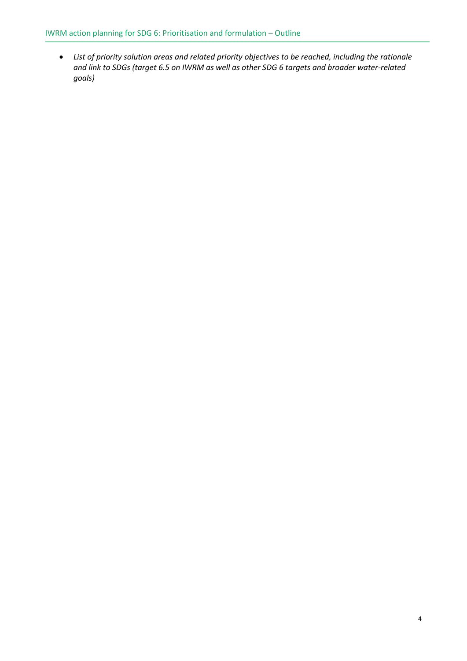• *List of priority solution areas and related priority objectives to be reached, including the rationale and link to SDGs (target 6.5 on IWRM as well as other SDG 6 targets and broader water-related goals)*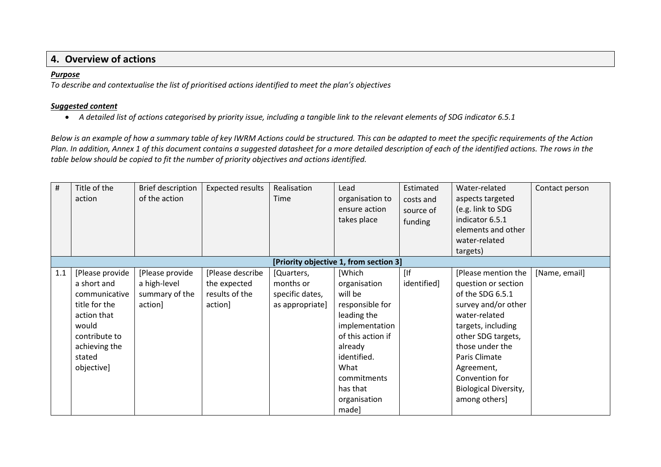## **4. Overview of actions**

#### *Purpose*

*To describe and contextualise the list of prioritised actions identified to meet the plan's objectives*

#### *Suggested content*

• *A detailed list of actions categorised by priority issue, including a tangible link to the relevant elements of SDG indicator 6.5.1*

*Below is an example of how a summary table of key IWRM Actions could be structured. This can be adapted to meet the specific requirements of the Action Plan. In addition, Annex 1 of this document contains a suggested datasheet for a more detailed description of each of the identified actions. The rows in the table below should be copied to fit the number of priority objectives and actions identified.*

| #   | Title of the<br>action                                                                                                                             | Brief description<br>of the action                           | <b>Expected results</b>                                       | Realisation<br>Time                                           | Lead<br>organisation to<br>ensure action<br>takes place                                                                                                                                          | Estimated<br>costs and<br>source of<br>funding | Water-related<br>aspects targeted<br>(e.g. link to SDG<br>indicator 6.5.1<br>elements and other<br>water-related<br>targets)                                                                                                                                            | Contact person |
|-----|----------------------------------------------------------------------------------------------------------------------------------------------------|--------------------------------------------------------------|---------------------------------------------------------------|---------------------------------------------------------------|--------------------------------------------------------------------------------------------------------------------------------------------------------------------------------------------------|------------------------------------------------|-------------------------------------------------------------------------------------------------------------------------------------------------------------------------------------------------------------------------------------------------------------------------|----------------|
|     |                                                                                                                                                    |                                                              |                                                               |                                                               | [Priority objective 1, from section 3]                                                                                                                                                           |                                                |                                                                                                                                                                                                                                                                         |                |
| 1.1 | [Please provide<br>a short and<br>communicative<br>title for the<br>action that<br>would<br>contribute to<br>achieving the<br>stated<br>objective] | [Please provide<br>a high-level<br>summary of the<br>action] | [Please describe<br>the expected<br>results of the<br>action] | [Quarters,<br>months or<br>specific dates,<br>as appropriate] | [Which<br>organisation<br>will be<br>responsible for<br>leading the<br>implementation<br>of this action if<br>already<br>identified.<br>What<br>commitments<br>has that<br>organisation<br>made] | [<br>identified]                               | [Please mention the<br>question or section<br>of the SDG 6.5.1<br>survey and/or other<br>water-related<br>targets, including<br>other SDG targets,<br>those under the<br>Paris Climate<br>Agreement,<br>Convention for<br><b>Biological Diversity,</b><br>among others] | [Name, email]  |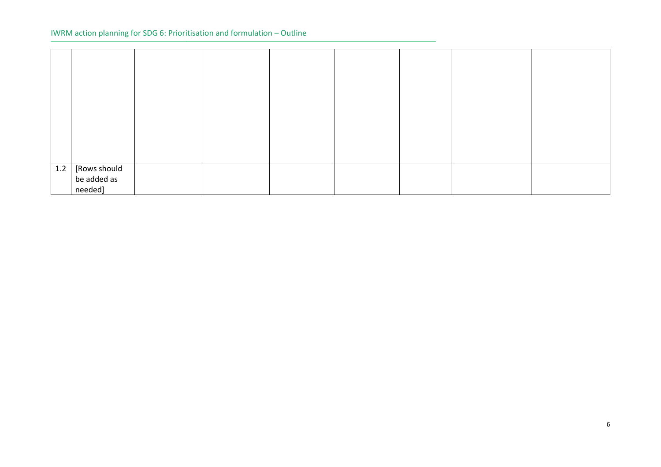| 1.2 |                             |  |  |  |  |
|-----|-----------------------------|--|--|--|--|
|     | [Rows should<br>be added as |  |  |  |  |
|     | needed]                     |  |  |  |  |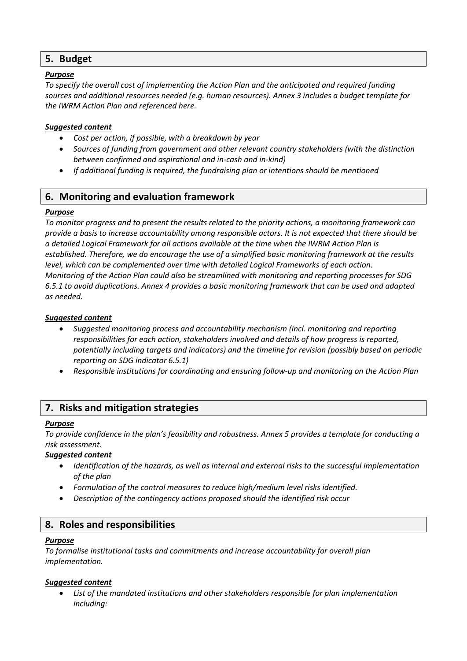## **5. Budget**

#### *Purpose*

*To specify the overall cost of implementing the Action Plan and the anticipated and required funding sources and additional resources needed (e.g. human resources). Annex 3 includes a budget template for the IWRM Action Plan and referenced here.*

#### *Suggested content*

- *Cost per action, if possible, with a breakdown by year*
- *Sources of funding from government and other relevant country stakeholders (with the distinction between confirmed and aspirational and in-cash and in-kind)*
- *If additional funding is required, the fundraising plan or intentions should be mentioned*

## **6. Monitoring and evaluation framework**

#### *Purpose*

*To monitor progress and to present the results related to the priority actions, a monitoring framework can provide a basis to increase accountability among responsible actors. It is not expected that there should be a detailed Logical Framework for all actions available at the time when the IWRM Action Plan is established. Therefore, we do encourage the use of a simplified basic monitoring framework at the results level, which can be complemented over time with detailed Logical Frameworks of each action. Monitoring of the Action Plan could also be streamlined with monitoring and reporting processes for SDG 6.5.1 to avoid duplications. Annex 4 provides a basic monitoring framework that can be used and adapted as needed.* 

#### *Suggested content*

- *Suggested monitoring process and accountability mechanism (incl. monitoring and reporting responsibilities for each action, stakeholders involved and details of how progress is reported, potentially including targets and indicators) and the timeline for revision (possibly based on periodic reporting on SDG indicator 6.5.1)*
- *Responsible institutions for coordinating and ensuring follow-up and monitoring on the Action Plan*

### **7. Risks and mitigation strategies**

#### *Purpose*

*To provide confidence in the plan's feasibility and robustness. Annex 5 provides a template for conducting a risk assessment.*

#### *Suggested content*

- *Identification of the hazards, as well as internal and external risks to the successful implementation of the plan*
- *Formulation of the control measures to reduce high/medium level risks identified.*
- *Description of the contingency actions proposed should the identified risk occur*

### **8. Roles and responsibilities**

#### *Purpose*

*To formalise institutional tasks and commitments and increase accountability for overall plan implementation.* 

#### *Suggested content*

• *List of the mandated institutions and other stakeholders responsible for plan implementation including:*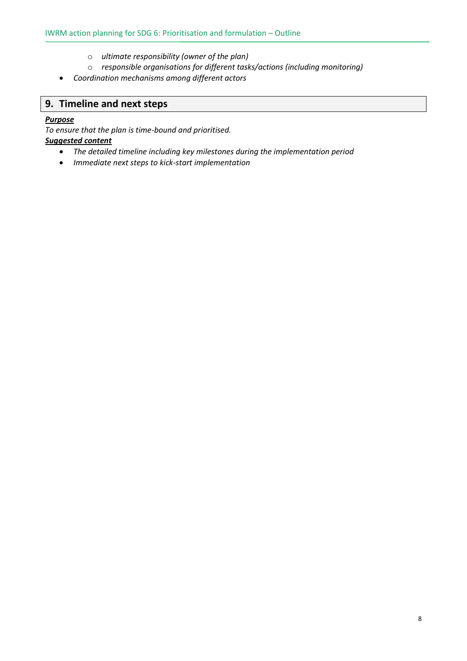- o *ultimate responsibility (owner of the plan)*
- o *responsible organisations for different tasks/actions (including monitoring)*
- *Coordination mechanisms among different actors*

## **9. Timeline and next steps**

#### *Purpose*

*To ensure that the plan is time-bound and prioritised. Suggested content*

- *The detailed timeline including key milestones during the implementation period*
- *Immediate next steps to kick-start implementation*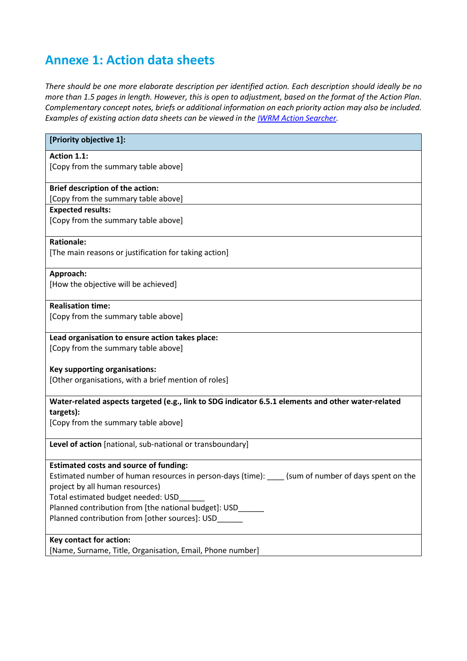## **Annexe 1: Action data sheets**

*There should be one more elaborate description per identified action. Each description should ideally be no more than 1.5 pages in length. However, this is open to adjustment, based on the format of the Action Plan. Complementary concept notes, briefs or additional information on each priority action may also be included. Examples of existing action data sheets can be viewed in the [IWRM Action Searcher.](https://www.gwp.org/en/sdg6support/engage/iwrm-actions/actionsearch/)*

| [Priority objective 1]:                                                                                         |
|-----------------------------------------------------------------------------------------------------------------|
| Action 1.1:                                                                                                     |
| [Copy from the summary table above]                                                                             |
| <b>Brief description of the action:</b>                                                                         |
| [Copy from the summary table above]                                                                             |
| <b>Expected results:</b>                                                                                        |
| [Copy from the summary table above]                                                                             |
| <b>Rationale:</b>                                                                                               |
| [The main reasons or justification for taking action]                                                           |
| Approach:                                                                                                       |
| [How the objective will be achieved]                                                                            |
| <b>Realisation time:</b>                                                                                        |
| [Copy from the summary table above]                                                                             |
| Lead organisation to ensure action takes place:                                                                 |
| [Copy from the summary table above]                                                                             |
| <b>Key supporting organisations:</b>                                                                            |
| [Other organisations, with a brief mention of roles]                                                            |
| Water-related aspects targeted (e.g., link to SDG indicator 6.5.1 elements and other water-related<br>targets): |
| [Copy from the summary table above]                                                                             |
| Level of action [national, sub-national or transboundary]                                                       |
| <b>Estimated costs and source of funding:</b>                                                                   |
| Estimated number of human resources in person-days (time): _____ (sum of number of days spent on the            |
| project by all human resources)                                                                                 |
| Total estimated budget needed: USD                                                                              |
| Planned contribution from [the national budget]: USD                                                            |
| Planned contribution from [other sources]: USD                                                                  |
| <b>Key contact for action:</b>                                                                                  |
| [Name, Surname, Title, Organisation, Email, Phone number]                                                       |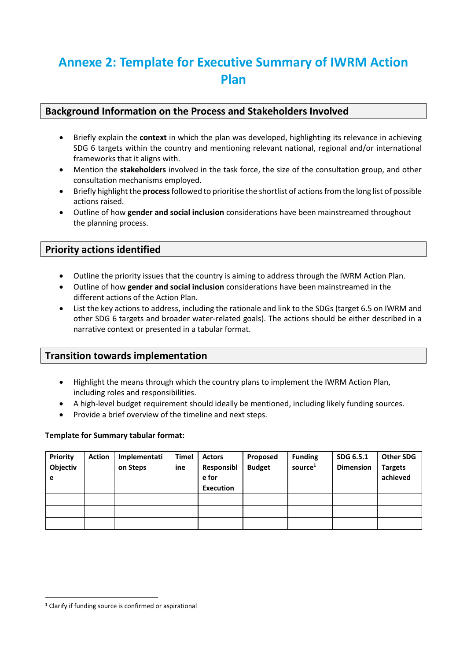# **Annexe 2: Template for Executive Summary of IWRM Action Plan**

## **Background Information on the Process and Stakeholders Involved**

- Briefly explain the **context** in which the plan was developed, highlighting its relevance in achieving SDG 6 targets within the country and mentioning relevant national, regional and/or international frameworks that it aligns with.
- Mention the **stakeholders** involved in the task force, the size of the consultation group, and other consultation mechanisms employed.
- Briefly highlight the **process**followed to prioritise the shortlist of actions from the long list of possible actions raised.
- Outline of how **gender and social inclusion** considerations have been mainstreamed throughout the planning process.

#### **Priority actions identified**

- Outline the priority issues that the country is aiming to address through the IWRM Action Plan.
- Outline of how **gender and social inclusion** considerations have been mainstreamed in the different actions of the Action Plan.
- List the key actions to address, including the rationale and link to the SDGs (target 6.5 on IWRM and other SDG 6 targets and broader water-related goals). The actions should be either described in a narrative context or presented in a tabular format.

### **Transition towards implementation**

- Highlight the means through which the country plans to implement the IWRM Action Plan, including roles and responsibilities.
- A high-level budget requirement should ideally be mentioned, including likely funding sources.
- Provide a brief overview of the timeline and next steps.

#### **Template for Summary tabular format:**

| Priority<br>Objectiv<br>e | <b>Action</b> | Implementati<br>on Steps | <b>Timel</b><br>ine | <b>Actors</b><br>Responsibl<br>e for<br><b>Execution</b> | Proposed<br><b>Budget</b> | <b>Funding</b><br>source <sup>1</sup> | SDG 6.5.1<br><b>Dimension</b> | <b>Other SDG</b><br><b>Targets</b><br>achieved |
|---------------------------|---------------|--------------------------|---------------------|----------------------------------------------------------|---------------------------|---------------------------------------|-------------------------------|------------------------------------------------|
|                           |               |                          |                     |                                                          |                           |                                       |                               |                                                |
|                           |               |                          |                     |                                                          |                           |                                       |                               |                                                |
|                           |               |                          |                     |                                                          |                           |                                       |                               |                                                |

<sup>&</sup>lt;sup>1</sup> Clarify if funding source is confirmed or aspirational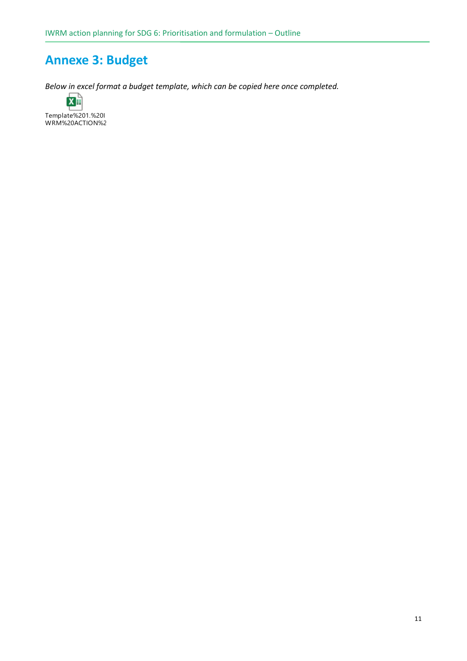# **Annexe 3: Budget**

*Below in excel format a budget template, which can be copied here once completed.*

 $\overline{\mathbf{x}}$  : Template%201.%20I<br>WRM%20ACTION%2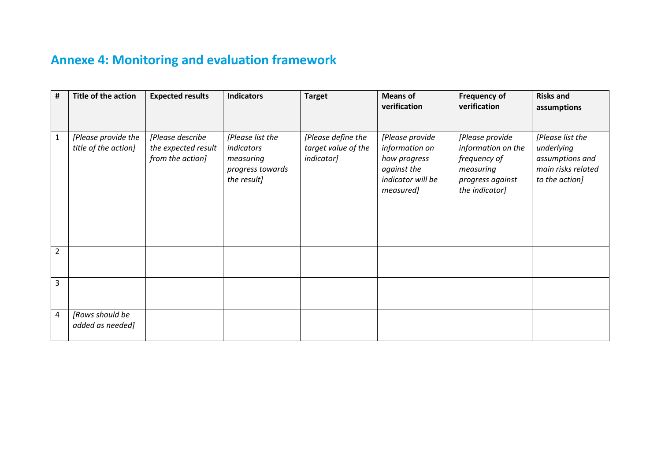# **Annexe 4: Monitoring and evaluation framework**

| $\pmb{\sharp}$ | <b>Title of the action</b>                  | <b>Expected results</b>                                     | <b>Indicators</b>                                                              | <b>Target</b>                                           | <b>Means of</b>                                                                                    | <b>Frequency of</b><br>verification                                                                      | <b>Risks and</b>                                                                          |
|----------------|---------------------------------------------|-------------------------------------------------------------|--------------------------------------------------------------------------------|---------------------------------------------------------|----------------------------------------------------------------------------------------------------|----------------------------------------------------------------------------------------------------------|-------------------------------------------------------------------------------------------|
|                |                                             |                                                             |                                                                                |                                                         | verification                                                                                       |                                                                                                          | assumptions                                                                               |
| $\mathbf{1}$   | [Please provide the<br>title of the action] | [Please describe<br>the expected result<br>from the action] | [Please list the<br>indicators<br>measuring<br>progress towards<br>the result] | [Please define the<br>target value of the<br>indicator] | [Please provide<br>information on<br>how progress<br>against the<br>indicator will be<br>measured] | [Please provide<br>information on the<br>frequency of<br>measuring<br>progress against<br>the indicator] | [Please list the<br>underlying<br>assumptions and<br>main risks related<br>to the action] |
| $\overline{2}$ |                                             |                                                             |                                                                                |                                                         |                                                                                                    |                                                                                                          |                                                                                           |
| 3              |                                             |                                                             |                                                                                |                                                         |                                                                                                    |                                                                                                          |                                                                                           |
| 4              | [Rows should be<br>added as needed]         |                                                             |                                                                                |                                                         |                                                                                                    |                                                                                                          |                                                                                           |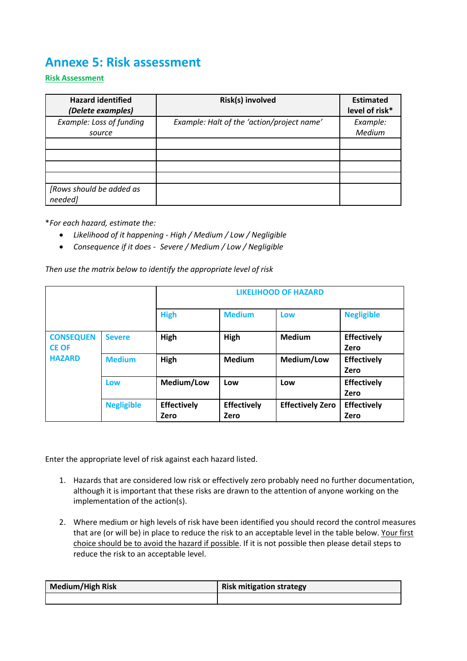## **Annexe 5: Risk assessment**

**Risk Assessment**

| <b>Hazard identified</b><br>(Delete examples) | Risk(s) involved                           | <b>Estimated</b><br>level of risk* |
|-----------------------------------------------|--------------------------------------------|------------------------------------|
| Example: Loss of funding<br>source            | Example: Halt of the 'action/project name' | Example:<br>Medium                 |
|                                               |                                            |                                    |
|                                               |                                            |                                    |
|                                               |                                            |                                    |
|                                               |                                            |                                    |
| [Rows should be added as<br>needed]           |                                            |                                    |

\**For each hazard, estimate the:*

- *Likelihood of it happening - High / Medium / Low / Negligible*
- *Consequence if it does - Severe / Medium / Low / Negligible*

*Then use the matrix below to identify the appropriate level of risk*

|                                  |                   |                            | <b>LIKELIHOOD OF HAZARD</b> |                         |                            |  |  |  |
|----------------------------------|-------------------|----------------------------|-----------------------------|-------------------------|----------------------------|--|--|--|
|                                  |                   | <b>High</b>                | <b>Medium</b>               | Low                     | <b>Negligible</b>          |  |  |  |
| <b>CONSEQUEN</b><br><b>CE OF</b> | <b>Severe</b>     | High                       | High                        | <b>Medium</b>           | <b>Effectively</b><br>Zero |  |  |  |
| <b>HAZARD</b>                    | <b>Medium</b>     | High                       | <b>Medium</b>               | Medium/Low              | <b>Effectively</b><br>Zero |  |  |  |
|                                  | Low               | Medium/Low                 | Low                         | Low                     | <b>Effectively</b><br>Zero |  |  |  |
|                                  | <b>Negligible</b> | <b>Effectively</b><br>Zero | <b>Effectively</b><br>Zero  | <b>Effectively Zero</b> | <b>Effectively</b><br>Zero |  |  |  |

Enter the appropriate level of risk against each hazard listed.

- 1. Hazards that are considered low risk or effectively zero probably need no further documentation, although it is important that these risks are drawn to the attention of anyone working on the implementation of the action(s).
- 2. Where medium or high levels of risk have been identified you should record the control measures that are (or will be) in place to reduce the risk to an acceptable level in the table below. Your first choice should be to avoid the hazard if possible. If it is not possible then please detail steps to reduce the risk to an acceptable level.

| <b>Medium/High Risk</b> | <b>Risk mitigation strategy</b> |
|-------------------------|---------------------------------|
|                         |                                 |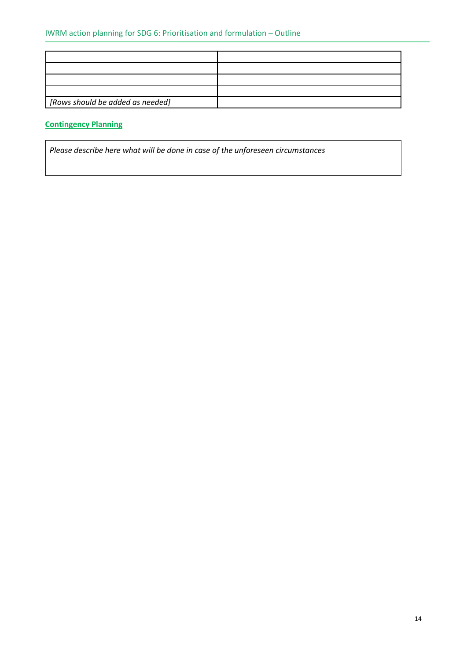| [Rows should be added as needed] |  |
|----------------------------------|--|

## **Contingency Planning**

*Please describe here what will be done in case of the unforeseen circumstances*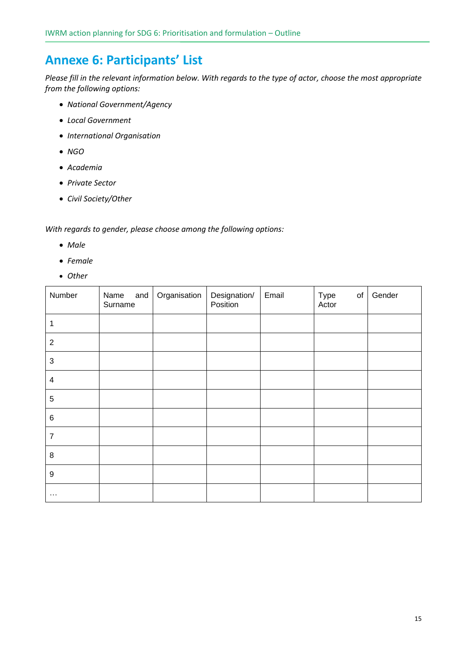## **Annexe 6: Participants' List**

*Please fill in the relevant information below. With regards to the type of actor, choose the most appropriate from the following options:*

- *National Government/Agency*
- *Local Government*
- *International Organisation*
- *NGO*
- *Academia*
- *Private Sector*
- *Civil Society/Other*

*With regards to gender, please choose among the following options:*

- *Male*
- *Female*
- *Other*

| Number                    | Name<br>and<br>Surname | Organisation | Designation/<br>Position | Email | Type<br>of<br>Actor | Gender |
|---------------------------|------------------------|--------------|--------------------------|-------|---------------------|--------|
| 1                         |                        |              |                          |       |                     |        |
| $\overline{2}$            |                        |              |                          |       |                     |        |
| $\ensuremath{\mathsf{3}}$ |                        |              |                          |       |                     |        |
| $\overline{\mathbf{4}}$   |                        |              |                          |       |                     |        |
| $\,$ 5 $\,$               |                        |              |                          |       |                     |        |
| 6                         |                        |              |                          |       |                     |        |
| $\overline{7}$            |                        |              |                          |       |                     |        |
| $\,8\,$                   |                        |              |                          |       |                     |        |
| 9                         |                        |              |                          |       |                     |        |
| $\cdots$                  |                        |              |                          |       |                     |        |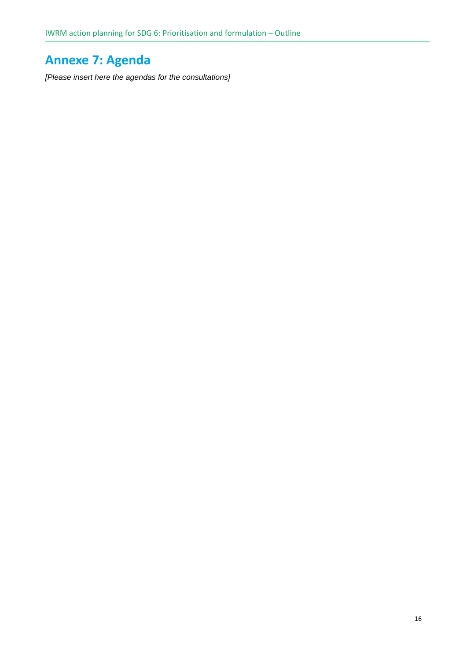# **Annexe 7: Agenda**

*[Please insert here the agendas for the consultations]*